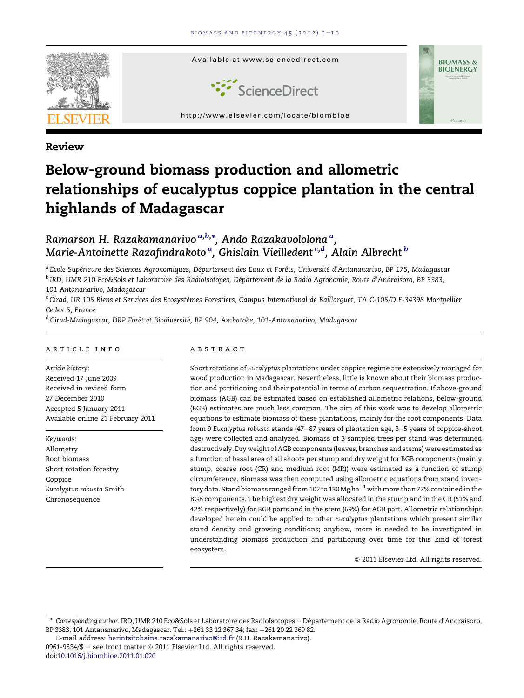

# Review

# Below-ground biomass production and allometric relationships of eucalyptus coppice plantation in the central highlands of Madagascar

# Ramarson H. Razakamanarivo <sup>a,b,</sup>\*, Ando Razakavololona <sup>a</sup>, Marie-Antoinette Razafindrakoto <sup>a</sup>, Ghislain Vieilledent <sup>c,d</sup>, Alain Albrecht  $^{\rm b}$

a Ecole Supérieure des Sciences Agronomiques, Département des Eaux et Forêts, Université d'Antananarivo, BP 175, Madagascar <sup>b</sup> IRD, UMR 210 Eco&Sols et Laboratoire des RadioIsotopes, Département de la Radio Agronomie, Route d'Andraisoro, BP 3383, 101 Antananarivo, Madagascar

 $c$ Cirad, UR 105 Biens et Services des Ecosystèmes Forestiers, Campus International de Baillarquet, TA C-105/D F-34398 Montpellier Cedex 5, France

<sup>d</sup> Cirad-Madagascar, DRP Forêt et Biodiversité, BP 904, Ambatobe, 101-Antananarivo, Madagascar

#### article info

Article history: Received 17 June 2009 Received in revised form 27 December 2010 Accepted 5 January 2011 Available online 21 February 2011

Keywords: Allometry Root biomass Short rotation forestry Coppice Eucalyptus robusta Smith Chronosequence

# abstract

Short rotations of Eucalyptus plantations under coppice regime are extensively managed for wood production in Madagascar. Nevertheless, little is known about their biomass production and partitioning and their potential in terms of carbon sequestration. If above-ground biomass (AGB) can be estimated based on established allometric relations, below-ground (BGB) estimates are much less common. The aim of this work was to develop allometric equations to estimate biomass of these plantations, mainly for the root components. Data from 9 Eucalyptus robusta stands (47-87 years of plantation age, 3-5 years of coppice-shoot age) were collected and analyzed. Biomass of 3 sampled trees per stand was determined destructively. Dry weight of AGB components (leaves, branches and stems) were estimated as a function of basal area of all shoots per stump and dry weight for BGB components (mainly stump, coarse root (CR) and medium root (MR)) were estimated as a function of stump circumference. Biomass was then computed using allometric equations from stand inventory data. Stand biomass ranged from 102 to 130 Mg ha $^{-1}$  with more than 77% contained in the BGB components. The highest dry weight was allocated in the stump and in the CR (51% and 42% respectively) for BGB parts and in the stem (69%) for AGB part. Allometric relationships developed herein could be applied to other Eucalyptus plantations which present similar stand density and growing conditions; anyhow, more is needed to be investigated in understanding biomass production and partitioning over time for this kind of forest ecosystem.

 $@$  2011 Elsevier Ltd. All rights reserved.

<sup>\*</sup> Corresponding author. IRD, UMR 210 Eco&Sols et Laboratoire des RadioIsotopes - Département de la Radio Agronomie, Route d'Andraisoro, BP 3383, 101 Antananarivo, Madagascar. Tel.: +261 33 12 367 34; fax: +261 20 22 369 82.

E-mail address: [herintsitohaina.razakamanarivo@ird.fr](mailto:herintsitohaina.razakamanarivo@ird.fr) (R.H. Razakamanarivo). 0961-9534/\$ - see front matter  $\odot$  2011 Elsevier Ltd. All rights reserved. doi[:10.1016/j.biombioe.2011.01.020](http://dx.doi.org/10.1016/j.biombioe.2011.01.020)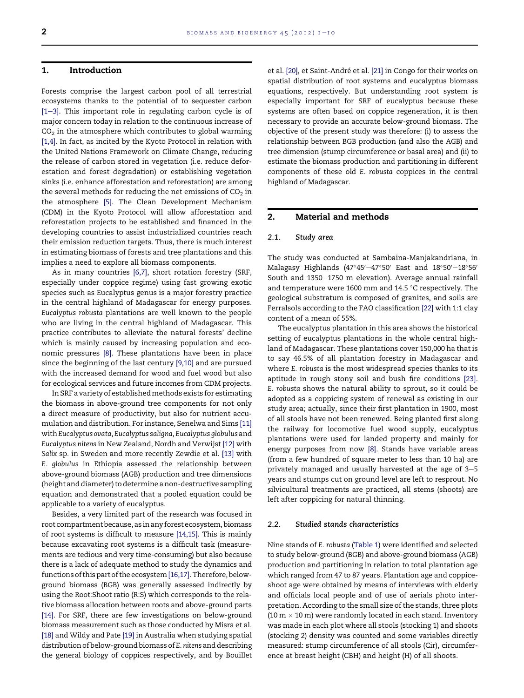# 1. Introduction

Forests comprise the largest carbon pool of all terrestrial ecosystems thanks to the potential of to sequester carbon  $[1-3]$  $[1-3]$ . This important role in regulating carbon cycle is of major concern today in relation to the continuous increase of  $CO<sub>2</sub>$  in the atmosphere which contributes to global warming [\[1,4\]](#page-8-0). In fact, as incited by the Kyoto Protocol in relation with the United Nations Framework on Climate Change, reducing the release of carbon stored in vegetation (i.e. reduce deforestation and forest degradation) or establishing vegetation sinks (i.e. enhance afforestation and reforestation) are among the several methods for reducing the net emissions of  $CO<sub>2</sub>$  in the atmosphere [\[5\]](#page-8-0). The Clean Development Mechanism (CDM) in the Kyoto Protocol will allow afforestation and reforestation projects to be established and financed in the developing countries to assist industrialized countries reach their emission reduction targets. Thus, there is much interest in estimating biomass of forests and tree plantations and this implies a need to explore all biomass components.

As in many countries [\[6,7\]](#page-8-0), short rotation forestry (SRF, especially under coppice regime) using fast growing exotic species such as Eucalyptus genus is a major forestry practice in the central highland of Madagascar for energy purposes. Eucalyptus robusta plantations are well known to the people who are living in the central highland of Madagascar. This practice contributes to alleviate the natural forests' decline which is mainly caused by increasing population and economic pressures [\[8\].](#page-8-0) These plantations have been in place since the beginning of the last century [\[9,10\]](#page-8-0) and are pursued with the increased demand for wood and fuel wood but also for ecological services and future incomes from CDM projects.

In SRF a variety of establishedmethods exists for estimating the biomass in above-ground tree components for not only a direct measure of productivity, but also for nutrient accumulation and distribution. For instance, Senelwa and Sims [\[11\]](#page-8-0) with Eucalyptus ovata, Eucalyptus saligna, Eucalyptus globulus and Eucalyptus nitens in New Zealand, Nordh and Verwijst [\[12\]](#page-8-0) with Salix sp. in Sweden and more recently Zewdie et al. [\[13\]](#page-8-0) with E. globulus in Ethiopia assessed the relationship between above-ground biomass (AGB) production and tree dimensions (height and diameter) to determine a non-destructive sampling equation and demonstrated that a pooled equation could be applicable to a variety of eucalyptus.

Besides, a very limited part of the research was focused in root compartment because, as in any forest ecosystem, biomass of root systems is difficult to measure [\[14,15\].](#page-9-0) This is mainly because excavating root systems is a difficult task (measurements are tedious and very time-consuming) but also because there is a lack of adequate method to study the dynamics and functions of this part of the ecosystem[\[16,17\].](#page-9-0) Therefore, belowground biomass (BGB) was generally assessed indirectly by using the Root:Shoot ratio (R:S) which corresponds to the relative biomass allocation between roots and above-ground parts [\[14\].](#page-9-0) For SRF, there are few investigations on below-ground biomass measurement such as those conducted by Misra et al. [\[18\]](#page-9-0) and Wildy and Pate [\[19\]](#page-9-0) in Australia when studying spatial distribution of below-ground biomass of E. nitens and describing the general biology of coppices respectively, and by Bouillet et al. [\[20\],](#page-9-0) et Saint-André et al. [\[21\]](#page-9-0) in Congo for their works on spatial distribution of root systems and eucalyptus biomass equations, respectively. But understanding root system is especially important for SRF of eucalyptus because these systems are often based on coppice regeneration, it is then necessary to provide an accurate below-ground biomass. The objective of the present study was therefore: (i) to assess the relationship between BGB production (and also the AGB) and tree dimension (stump circumference or basal area) and (ii) to estimate the biomass production and partitioning in different components of these old E. robusta coppices in the central highland of Madagascar.

# 2. Material and methods

#### 2.1. Study area

The study was conducted at Sambaina-Manjakandriana, in Malagasy Highlands (47°45'-47°50' East and 18°50'-18°56' South and 1350-1750 m elevation). Average annual rainfall and temperature were 1600 mm and 14.5  $\degree$ C respectively. The geological substratum is composed of granites, and soils are Ferralsols according to the FAO classification [\[22\]](#page-9-0) with 1:1 clay content of a mean of 55%.

The eucalyptus plantation in this area shows the historical setting of eucalyptus plantations in the whole central highland of Madagascar. These plantations cover 150,000 ha that is to say 46.5% of all plantation forestry in Madagascar and where E. robusta is the most widespread species thanks to its aptitude in rough stony soil and bush fire conditions [\[23\]](#page-9-0). E. robusta shows the natural ability to sprout, so it could be adopted as a coppicing system of renewal as existing in our study area; actually, since their first plantation in 1900, most of all stools have not been renewed. Being planted first along the railway for locomotive fuel wood supply, eucalyptus plantations were used for landed property and mainly for energy purposes from now [\[8\].](#page-8-0) Stands have variable areas (from a few hundred of square meter to less than 10 ha) are privately managed and usually harvested at the age of  $3-5$ years and stumps cut on ground level are left to resprout. No silvicultural treatments are practiced, all stems (shoots) are left after coppicing for natural thinning.

#### 2.2. Studied stands characteristics

Nine stands of E. robusta ([Table 1](#page-2-0)) were identified and selected to study below-ground (BGB) and above-ground biomass (AGB) production and partitioning in relation to total plantation age which ranged from 47 to 87 years. Plantation age and coppiceshoot age were obtained by means of interviews with elderly and officials local people and of use of aerials photo interpretation. According to the small size of the stands, three plots (10  $m \times$  10 m) were randomly located in each stand. Inventory was made in each plot where all stools (stocking 1) and shoots (stocking 2) density was counted and some variables directly measured: stump circumference of all stools (Cir), circumference at breast height (CBH) and height (H) of all shoots.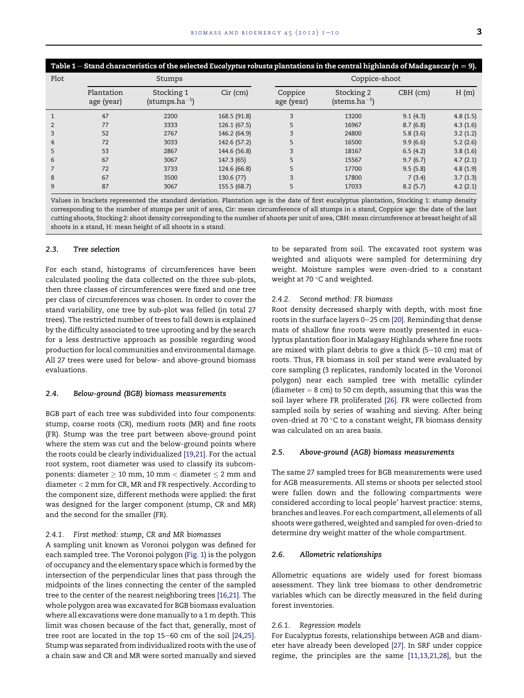<span id="page-2-0"></span>

| Table 1 – Stand characteristics of the selected Eucalyptus robusta plantations in the central highlands of Madagascar ( $n = 9$ ). |                          |                                         |              |                       |                                      |            |          |  |  |
|------------------------------------------------------------------------------------------------------------------------------------|--------------------------|-----------------------------------------|--------------|-----------------------|--------------------------------------|------------|----------|--|--|
| Plot                                                                                                                               |                          | Stumps                                  |              | Coppice-shoot         |                                      |            |          |  |  |
|                                                                                                                                    | Plantation<br>age (year) | Stocking 1<br>$(\text{stumps.ha}^{-1})$ | $Cir$ (cm)   | Coppice<br>age (year) | Stocking 2<br>(stems.ha $^{\rm -1})$ | $CBH$ (cm) | H(m)     |  |  |
|                                                                                                                                    | 47                       | 2200                                    | 168.5 (91.8) | 3                     | 13200                                | 9.1(4.3)   | 4.8(1.5) |  |  |
|                                                                                                                                    | 77                       | 3333                                    | 126.1(67.5)  |                       | 16967                                | 8.7(6.8)   | 4.3(1.6) |  |  |
| 3                                                                                                                                  | 52                       | 2767                                    | 146.2 (64.9) | 3                     | 24800                                | 5.8(3.6)   | 3.2(1.2) |  |  |
| 4                                                                                                                                  | 72                       | 3033                                    | 142.6 (57.2) |                       | 16500                                | 9.9(6.6)   | 5.2(2.6) |  |  |
| 5                                                                                                                                  | 53                       | 2867                                    | 144.6 (56.8) | 3                     | 18167                                | 6.5(4.2)   | 3.8(1.6) |  |  |
| 6                                                                                                                                  | 67                       | 3067                                    | 147.3 (65)   |                       | 15567                                | 9.7(6.7)   | 4.7(2.1) |  |  |
|                                                                                                                                    | 72                       | 3733                                    | 124.6 (66.8) |                       | 17700                                | 9.5(5.8)   | 4.8(1.9) |  |  |
| 8                                                                                                                                  | 67                       | 3500                                    | 130.6 (77)   |                       | 17800                                | 7(3.4)     | 3.7(1.3) |  |  |
| 9                                                                                                                                  | 87                       | 3067                                    | 155.5 (68.7) | 5                     | 17033                                | 8.2(5.7)   | 4.2(2.1) |  |  |

Values in brackets represented the standard deviation. Plantation age is the date of first eucalyptus plantation, Stocking 1: stump density corresponding to the number of stumps per unit of area, Cir: mean circumference of all stumps in a stand, Coppice age: the date of the last cutting shoots, Stocking 2: shoot density corresponding to the number of shoots per unit of area, CBH: mean circumference at breast height of all shoots in a stand, H: mean height of all shoots in a stand.

#### 2.3. Tree selection

For each stand, histograms of circumferences have been calculated pooling the data collected on the three sub-plots, then three classes of circumferences were fixed and one tree per class of circumferences was chosen. In order to cover the stand variability, one tree by sub-plot was felled (in total 27 trees). The restricted number of trees to fall down is explained by the difficulty associated to tree uprooting and by the search for a less destructive approach as possible regarding wood production for local communities and environmental damage. All 27 trees were used for below- and above-ground biomass evaluations.

#### 2.4. Below-ground (BGB) biomass measurements

BGB part of each tree was subdivided into four components: stump, coarse roots (CR), medium roots (MR) and fine roots (FR). Stump was the tree part between above-ground point where the stem was cut and the below-ground points where the roots could be clearly individualized [\[19,21\].](#page-9-0) For the actual root system, root diameter was used to classify its subcomponents: diameter  $\geq 10$  mm, 10 mm < diameter  $\leq 2$  mm and diameter < 2 mm for CR, MR and FR respectively. According to the component size, different methods were applied: the first was designed for the larger component (stump, CR and MR) and the second for the smaller (FR).

#### 2.4.1. First method: stump, CR and MR biomasses

A sampling unit known as Voronoi polygon was defined for each sampled tree. The Voronoi polygon [\(Fig. 1](#page-3-0)) is the polygon of occupancy and the elementary space which is formed by the intersection of the perpendicular lines that pass through the midpoints of the lines connecting the center of the sampled tree to the center of the nearest neighboring trees [\[16,21\].](#page-9-0) The whole polygon area was excavated for BGB biomass evaluation where all excavations were done manually to a 1 m depth. This limit was chosen because of the fact that, generally, most of tree root are located in the top  $15-60$  cm of the soil  $[24,25]$ . Stump was separated from individualized roots with the use of a chain saw and CR and MR were sorted manually and sieved to be separated from soil. The excavated root system was weighted and aliquots were sampled for determining dry weight. Moisture samples were oven-dried to a constant weight at 70 $\degree$ C and weighted.

#### 2.4.2. Second method: FR biomass

Root density decreased sharply with depth, with most fine roots in the surface layers 0-25 cm [\[20\].](#page-9-0) Reminding that dense mats of shallow fine roots were mostly presented in eucalyptus plantation floor in Malagasy Highlands where fine roots are mixed with plant debris to give a thick  $(5-10 \text{ cm})$  mat of roots. Thus, FR biomass in soil per stand were evaluated by core sampling (3 replicates, randomly located in the Voronoi polygon) near each sampled tree with metallic cylinder (diameter  $= 8$  cm) to 50 cm depth, assuming that this was the soil layer where FR proliferated [\[26\].](#page-9-0) FR were collected from sampled soils by series of washing and sieving. After being oven-dried at 70 $\degree$ C to a constant weight, FR biomass density was calculated on an area basis.

#### 2.5. Above-ground (AGB) biomass measurements

The same 27 sampled trees for BGB measurements were used for AGB measurements. All stems or shoots per selected stool were fallen down and the following compartments were considered according to local people' harvest practice: stems, branches and leaves. For each compartment, all elements of all shoots were gathered, weighted and sampled for oven-dried to determine dry weight matter of the whole compartment.

#### 2.6. Allometric relationships

Allometric equations are widely used for forest biomass assessment. They link tree biomass to other dendrometric variables which can be directly measured in the field during forest inventories.

#### 2.6.1. Regression models

For Eucalyptus forests, relationships between AGB and diameter have already been developed [\[27\].](#page-9-0) In SRF under coppice regime, the principles are the same [\[11,13,21,28\],](#page-8-0) but the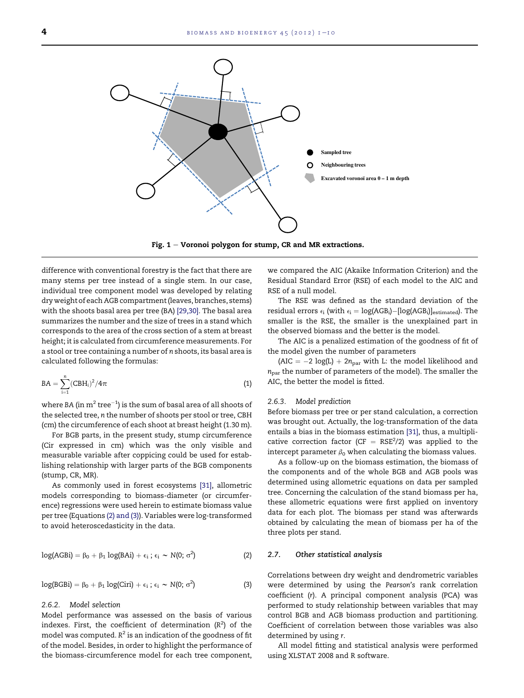<span id="page-3-0"></span>

Fig.  $1$  – Voronoi polygon for stump, CR and MR extractions.

difference with conventional forestry is the fact that there are many stems per tree instead of a single stem. In our case, individual tree component model was developed by relating dry weight of each AGB compartment (leaves, branches, stems) with the shoots basal area per tree (BA) [\[29,30\].](#page-9-0) The basal area summarizes the number and the size of trees in a stand which corresponds to the area of the cross section of a stem at breast height; it is calculated from circumference measurements. For a stool or tree containing a number of n shoots, its basal area is calculated following the formulas:

$$
BA = \sum_{i=1}^{n} (CBH_i)^2 / 4\pi
$$
 (1)

where BA (in  $\mathrm{m}^{2}$  tree $^{-1}$ ) is the sum of basal area of all shoots of the selected tree, n the number of shoots per stool or tree, CBH (cm) the circumference of each shoot at breast height (1.30 m).

For BGB parts, in the present study, stump circumference (Cir expressed in cm) which was the only visible and measurable variable after coppicing could be used for establishing relationship with larger parts of the BGB components (stump, CR, MR).

As commonly used in forest ecosystems [\[31\],](#page-9-0) allometric models corresponding to biomass-diameter (or circumference) regressions were used herein to estimate biomass value per tree (Equations (2) and (3)). Variables were log-transformed to avoid heteroscedasticity in the data.

$$
log(AGBi) = \beta_0 + \beta_1 log(BAi) + \epsilon_i ; \epsilon_i \sim N(0; \sigma^2)
$$
 (2)

$$
log(BGBi) = \beta_0 + \beta_1 log(Ciri) + \epsilon_i ; \epsilon_i \sim N(0; \sigma^2)
$$
 (3)

#### 2.6.2. Model selection

Model performance was assessed on the basis of various indexes. First, the coefficient of determination  $(R^2)$  of the model was computed.  $R^2$  is an indication of the goodness of fit of the model. Besides, in order to highlight the performance of the biomass-circumference model for each tree component, we compared the AIC (Akaike Information Criterion) and the Residual Standard Error (RSE) of each model to the AIC and RSE of a null model.

The RSE was defined as the standard deviation of the residual errors  $\epsilon_i$  (with  $\epsilon_i = \log(AGB_i) - [\log(AGB_i)]_{\text{estimated}}$ ). The smaller is the RSE, the smaller is the unexplained part in the observed biomass and the better is the model.

The AIC is a penalized estimation of the goodness of fit of the model given the number of parameters

(AIC =  $-2 \text{ log}(L) + 2n_{\text{par}}$  with L: the model likelihood and  $n<sub>par</sub>$  the number of parameters of the model). The smaller the AIC, the better the model is fitted.

#### 2.6.3. Model prediction

Before biomass per tree or per stand calculation, a correction was brought out. Actually, the log-transformation of the data entails a bias in the biomass estimation [\[31\],](#page-9-0) thus, a multiplicative correction factor (CF =  $RSE^2/2$ ) was applied to the intercept parameter  $\beta_0$  when calculating the biomass values.

As a follow-up on the biomass estimation, the biomass of the components and of the whole BGB and AGB pools was determined using allometric equations on data per sampled tree. Concerning the calculation of the stand biomass per ha, these allometric equations were first applied on inventory data for each plot. The biomass per stand was afterwards obtained by calculating the mean of biomass per ha of the three plots per stand.

#### 2.7. Other statistical analysis

Correlations between dry weight and dendrometric variables were determined by using the Pearson's rank correlation coefficient (r). A principal component analysis (PCA) was performed to study relationship between variables that may control BGB and AGB biomass production and partitioning. Coefficient of correlation between those variables was also determined by using r.

All model fitting and statistical analysis were performed using XLSTAT 2008 and R software.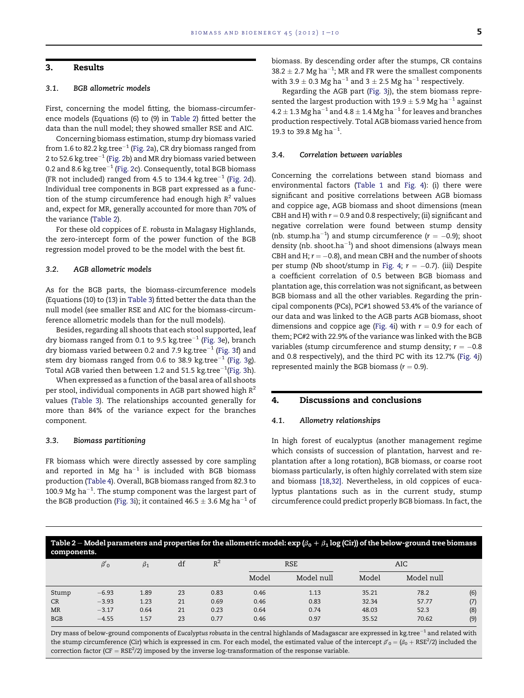#### 3. Results

### 3.1. BGB allometric models

First, concerning the model fitting, the biomass-circumference models (Equations (6) to (9) in Table 2) fitted better the data than the null model; they showed smaller RSE and AIC.

Concerning biomass estimation, stump dry biomass varied from 1.6 to 82.2 kg.tree<sup>-1</sup> [\(Fig. 2a](#page-5-0)), CR dry biomass ranged from 2 to 52.6 kg.tree $^{-1}$  [\(Fig. 2](#page-5-0)b) and MR dry biomass varied between 0.2 and 8.6 kg.tree $^{-1}$  [\(Fig. 2c](#page-5-0)). Consequently, total BGB biomass (FR not included) ranged from 4.5 to 134.4 kg.tree<sup>-1</sup> ([Fig. 2](#page-5-0)d). Individual tree components in BGB part expressed as a function of the stump circumference had enough high  $R^2$  values and, expect for MR, generally accounted for more than 70% of the variance (Table 2).

For these old coppices of E. robusta in Malagasy Highlands, the zero-intercept form of the power function of the BGB regression model proved to be the model with the best fit.

#### 3.2. AGB allometric models

As for the BGB parts, the biomass-circumference models (Equations (10) to (13) in [Table 3](#page-5-0)) fitted better the data than the null model (see smaller RSE and AIC for the biomass-circumference allometric models than for the null models).

Besides, regarding all shoots that each stool supported, leaf dry biomass ranged from 0.1 to 9.5 kg.tree<sup>-1</sup> [\(Fig. 3e](#page-6-0)), branch dry biomass varied between 0.2 and 7.9 kg.tree $^{-1}$  ([Fig. 3](#page-6-0)f) and stem dry biomass ranged from 0.6 to 38.9 kg.tree<sup>-1</sup> ([Fig. 3g](#page-6-0)). Total AGB varied then between 1.2 and 51.5  $\text{kg.tree}^{-1}$ ([Fig. 3h](#page-6-0)).

When expressed as a function of the basal area of all shoots per stool, individual components in AGB part showed high  $R^2$ values [\(Table 3](#page-5-0)). The relationships accounted generally for more than 84% of the variance expect for the branches component.

#### 3.3. Biomass partitioning

FR biomass which were directly assessed by core sampling and reported in Mg  $ha^{-1}$  is included with BGB biomass production ([Table 4\)](#page-6-0). Overall, BGB biomass ranged from 82.3 to 100.9 Mg ha $^{-1}$ . The stump component was the largest part of the BGB production [\(Fig. 3](#page-6-0)i); it contained  $46.5 \pm 3.6$  Mg ha<sup>-1</sup> of biomass. By descending order after the stumps, CR contains  $38.2 \pm 2.7$  Mg ha<sup>-1</sup>; MR and FR were the smallest components with 3.9  $\pm$  0.3 Mg ha<sup>-1</sup> and 3  $\pm$  2.5 Mg ha<sup>-1</sup> respectively.

Regarding the AGB part ([Fig. 3j](#page-6-0)), the stem biomass represented the largest production with 19.9  $\pm$  5.9 Mg ha<sup>-1</sup> against  $4.2 \pm 1.3$  Mg ha $^{-1}$  and  $4.8 \pm 1.4$  Mg ha $^{-1}$  for leaves and branches production respectively. Total AGB biomass varied hence from 19.3 to 39.8 Mg ha $^{-1}$ .

#### 3.4. Correlation between variables

Concerning the correlations between stand biomass and environmental factors [\(Table 1](#page-2-0) and [Fig. 4](#page-7-0)): (i) there were significant and positive correlations between AGB biomass and coppice age, AGB biomass and shoot dimensions (mean CBH and H) with  $r = 0.9$  and 0.8 respectively; (ii) significant and negative correlation were found between stump density (nb. stump.ha<sup>-1</sup>) and stump circumference ( $r = -0.9$ ); shoot density (nb. shoot.ha $^{-1}$ ) and shoot dimensions (always mean CBH and H;  $r = -0.8$ ), and mean CBH and the number of shoots per stump (Nb shoot/stump in [Fig. 4;](#page-7-0)  $r = -0.7$ ). (iii) Despite a coefficient correlation of 0.5 between BGB biomass and plantation age, this correlation was not significant, as between BGB biomass and all the other variables. Regarding the principal components (PCs), PC#1 showed 53.4% of the variance of our data and was linked to the AGB parts AGB biomass, shoot dimensions and coppice age ([Fig. 4](#page-7-0)i) with  $r = 0.9$  for each of them; PC#2 with 22.9% of the variance was linked with the BGB variables (stump circumference and stump density;  $r = -0.8$ and 0.8 respectively), and the third PC with its 12.7% [\(Fig. 4](#page-7-0)j) represented mainly the BGB biomass ( $r = 0.9$ ).

# 4. Discussions and conclusions

#### 4.1. Allometry relationships

In high forest of eucalyptus (another management regime which consists of succession of plantation, harvest and replantation after a long rotation), BGB biomass, or coarse root biomass particularly, is often highly correlated with stem size and biomass [\[18,32\]](#page-9-0). Nevertheless, in old coppices of eucalyptus plantations such as in the current study, stump circumference could predict properly BGB biomass. In fact, the

Table 2 – Model parameters and properties for the allometric model: exp ( $\beta_0+\beta_1\log$  (Cir)) of the below-ground tree biomass components.

| --------------- |              |           |    |       |            |            |       |            |     |
|-----------------|--------------|-----------|----|-------|------------|------------|-------|------------|-----|
|                 | $\beta'_{0}$ | $\beta_1$ | df | $R^2$ | <b>RSE</b> |            | AIC   |            |     |
|                 |              |           |    |       | Model      | Model null | Model | Model null |     |
| Stump           | $-6.93$      | 1.89      | 23 | 0.83  | 0.46       | 1.13       | 35.21 | 78.2       | (6) |
| CR              | $-3.93$      | 1.23      | 21 | 0.69  | 0.46       | 0.83       | 32.34 | 57.77      | (7) |
| <b>MR</b>       | $-3.17$      | 0.64      | 21 | 0.23  | 0.64       | 0.74       | 48.03 | 52.3       | (8) |
| <b>BGB</b>      | $-4.55$      | 1.57      | 23 | 0.77  | 0.46       | 0.97       | 35.52 | 70.62      | (9) |
|                 |              |           |    |       |            |            |       |            |     |

Dry mass of below-ground components of Eucalyptus robusta in the central highlands of Madagascar are expressed in kg.tree<sup>-1</sup> and related with the stump circumference (Cir) which is expressed in cm. For each model, the estimated value of the intercept  $\beta'_{0} = (\beta_0 + \text{RSE}^2/2)$  included the correction factor (CF  $=$  RSE<sup>2</sup>/2) imposed by the inverse log-transformation of the response variable.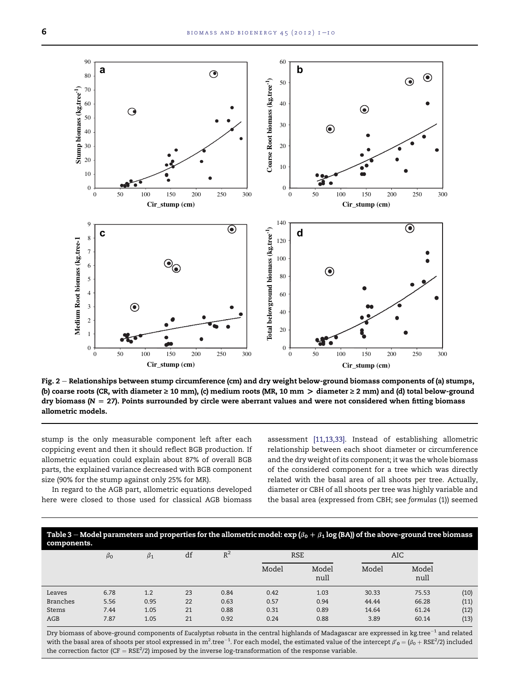<span id="page-5-0"></span>

Fig.  $2$  – Relationships between stump circumference (cm) and dry weight below-ground biomass components of (a) stumps, (b) coarse roots (CR, with diameter  $\geq 10$  mm), (c) medium roots (MR, 10 mm  $>$  diameter  $\geq 2$  mm) and (d) total below-ground dry biomass ( $N = 27$ ). Points surrounded by circle were aberrant values and were not considered when fitting biomass allometric models.

stump is the only measurable component left after each coppicing event and then it should reflect BGB production. If allometric equation could explain about 87% of overall BGB parts, the explained variance decreased with BGB component size (90% for the stump against only 25% for MR).

In regard to the AGB part, allometric equations developed here were closed to those used for classical AGB biomass

assessment [\[11,13,33\]](#page-8-0). Instead of establishing allometric relationship between each shoot diameter or circumference and the dry weight of its component; it was the whole biomass of the considered component for a tree which was directly related with the basal area of all shoots per tree. Actually, diameter or CBH of all shoots per tree was highly variable and the basal area (expressed from CBH; see formulas (1)) seemed



|                 | $\beta_0$ | $\beta_1$ | df | $R^2$ |       | <b>RSE</b>    |       | AIC           |      |
|-----------------|-----------|-----------|----|-------|-------|---------------|-------|---------------|------|
|                 |           |           |    |       | Model | Model<br>null | Model | Model<br>null |      |
| Leaves          | 6.78      | 1.2       | 23 | 0.84  | 0.42  | 1.03          | 30.33 | 75.53         | (10) |
| <b>Branches</b> | 5.56      | 0.95      | 22 | 0.63  | 0.57  | 0.94          | 44.44 | 66.28         | (11) |
| Stems           | 7.44      | 1.05      | 21 | 0.88  | 0.31  | 0.89          | 14.64 | 61.24         | (12) |
| AGB             | 7.87      | 1.05      | 21 | 0.92  | 0.24  | 0.88          | 3.89  | 60.14         | (13) |
|                 |           |           |    |       |       |               |       |               |      |

Dry biomass of above-ground components of Eucalyptus robusta in the central highlands of Madagascar are expressed in kg.tree $^{-1}$  and related with the basal area of shoots per stool expressed in m<sup>2</sup> tree<sup>-1</sup>. For each model, the estimated value of the intercept  $\beta'_{0} = (\beta_{0} + \text{RSE}^{2}/2)$  included the correction factor ( $CF = RSE<sup>2</sup>/2$ ) imposed by the inverse log-transformation of the response variable.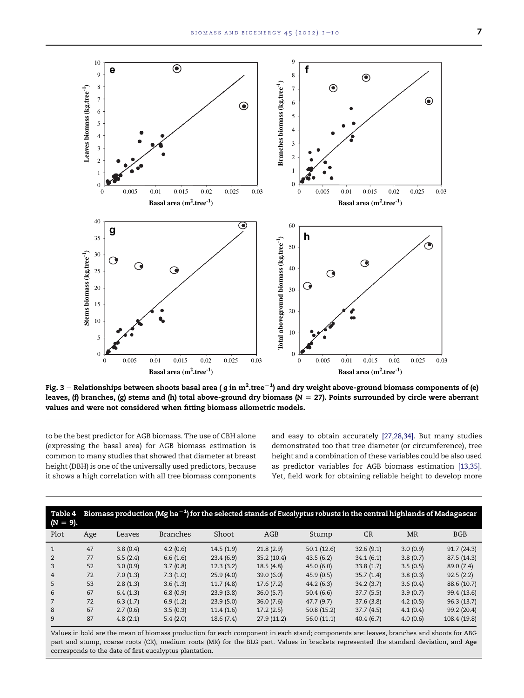<span id="page-6-0"></span>

Fig. 3 – Relationships between shoots basal area ( g in  $m^2$ .tree $^{-1}$ ) and dry weight above-ground biomass components of (e)<br>Jacuse (9 hypothes, (5) stems and (b) total above, ground dur biomass (N – 27). Deints surveye leaves, (f) branches, (g) stems and (h) total above-ground dry biomass ( $N = 27$ ). Points surrounded by circle were aberrant values and were not considered when fitting biomass allometric models.

to be the best predictor for AGB biomass. The use of CBH alone (expressing the basal area) for AGB biomass estimation is common to many studies that showed that diameter at breast height (DBH) is one of the universally used predictors, because it shows a high correlation with all tree biomass components and easy to obtain accurately [\[27,28,34\]](#page-9-0). But many studies demonstrated too that tree diameter (or circumference), tree height and a combination of these variables could be also used as predictor variables for AGB biomass estimation [\[13,35\].](#page-8-0) Yet, field work for obtaining reliable height to develop more

| Table 4 – Biomass production (Mg ha $^{-1}$ ) for the selected stands of Eucalyptus robusta in the central highlands of Madagascar<br>$(N = 9)$ . |     |          |                 |           |            |            |           |           |              |  |
|---------------------------------------------------------------------------------------------------------------------------------------------------|-----|----------|-----------------|-----------|------------|------------|-----------|-----------|--------------|--|
| Plot                                                                                                                                              | Age | Leaves   | <b>Branches</b> | Shoot     | AGB        | Stump      | CR        | <b>MR</b> | <b>BGB</b>   |  |
|                                                                                                                                                   | 47  | 3.8(0.4) | 4.2(0.6)        | 14.5(1.9) | 21.8(2.9)  | 50.1(12.6) | 32.6(9.1) | 3.0(0.9)  | 91.7(24.3)   |  |
| $\overline{2}$                                                                                                                                    | 77  | 6.5(2.4) | 6.6(1.6)        | 23.4(6.9) | 35.2(10.4) | 43.5(6.2)  | 34.1(6.1) | 3.8(0.7)  | 87.5(14.3)   |  |
| 3                                                                                                                                                 | 52  | 3.0(0.9) | 3.7(0.8)        | 12.3(3.2) | 18.5(4.8)  | 45.0(6.0)  | 33.8(1.7) | 3.5(0.5)  | 89.0 (7.4)   |  |
| 4                                                                                                                                                 | 72  | 7.0(1.3) | 7.3(1.0)        | 25.9(4.0) | 39.0(6.0)  | 45.9(0.5)  | 35.7(1.4) | 3.8(0.3)  | 92.5(2.2)    |  |
| 5                                                                                                                                                 | 53  | 2.8(1.3) | 3.6(1.3)        | 11.7(4.8) | 17.6(7.2)  | 44.2(6.3)  | 34.2(3.7) | 3.6(0.4)  | 88.6 (10.7)  |  |
| 6                                                                                                                                                 | 67  | 6.4(1.3) | 6.8(0.9)        | 23.9(3.8) | 36.0(5.7)  | 50.4(6.6)  | 37.7(5.5) | 3.9(0.7)  | 99.4 (13.6)  |  |
|                                                                                                                                                   | 72  | 6.3(1.7) | 6.9(1.2)        | 23.9(5.0) | 36.0(7.6)  | 47.7(9.7)  | 37.6(3.8) | 4.2(0.5)  | 96.3(13.7)   |  |
| 8                                                                                                                                                 | 67  | 2.7(0.6) | 3.5(0.3)        | 11.4(1.6) | 17.2(2.5)  | 50.8(15.2) | 37.7(4.5) | 4.1(0.4)  | 99.2 (20.4)  |  |
| 9                                                                                                                                                 | 87  | 4.8(2.1) | 5.4(2.0)        | 18.6(7.4) | 27.9(11.2) | 56.0(11.1) | 40.4(6.7) | 4.0(0.6)  | 108.4 (19.8) |  |

Values in bold are the mean of biomass production for each component in each stand; components are: leaves, branches and shoots for ABG part and stump, coarse roots (CR), medium roots (MR) for the BLG part. Values in brackets represented the standard deviation, and Age corresponds to the date of first eucalyptus plantation.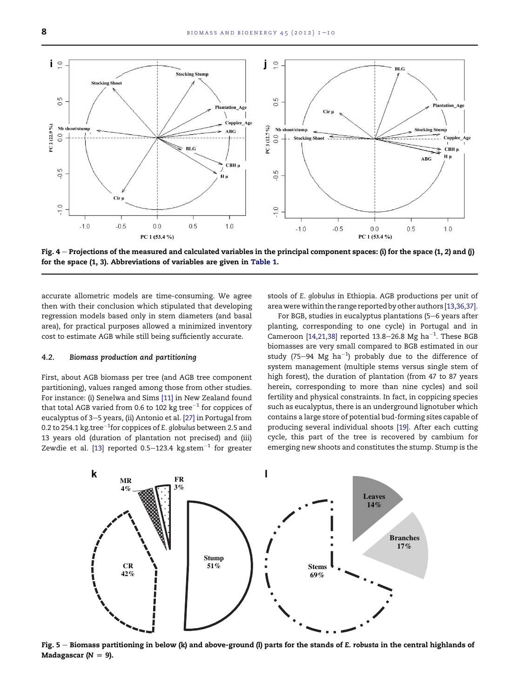<span id="page-7-0"></span>

Fig.  $4$  – Projections of the measured and calculated variables in the principal component spaces: (i) for the space (1, 2) and (j) for the space (1, 3). Abbreviations of variables are given in [Table 1.](#page-2-0)

accurate allometric models are time-consuming. We agree then with their conclusion which stipulated that developing regression models based only in stem diameters (and basal area), for practical purposes allowed a minimized inventory cost to estimate AGB while still being sufficiently accurate.

#### 4.2. Biomass production and partitioning

First, about AGB biomass per tree (and AGB tree component partitioning), values ranged among those from other studies. For instance: (i) Senelwa and Sims [\[11\]](#page-8-0) in New Zealand found that total AGB varied from 0.6 to 102 kg tree $^{-1}$  for coppices of eucalyptus of 3-5 years, (ii) Antonio et al. [\[27\]](#page-9-0) in Portugal from 0.2 to 254.1  $\rm kg.$ tree $^{-1}$ for coppices of E.  $g$ lobulus between 2.5 and 13 years old (duration of plantation not precised) and (iii) Zewdie et al. [\[13\]](#page-8-0) reported 0.5-123.4 kg.stem $^{-1}$  for greater stools of E. globulus in Ethiopia. AGB productions per unit of area were within the range reported by other authors [\[13,36,37\]](#page-8-0).

For BGB, studies in eucalyptus plantations (5-6 years after planting, corresponding to one cycle) in Portugal and in Cameroon [\[14,21,38\]](#page-9-0) reported 13.8–26.8 Mg ha<sup>-1</sup>. These BGB biomasses are very small compared to BGB estimated in our study (75–94 Mg ha $^{-1}$ ) probably due to the difference of system management (multiple stems versus single stem of high forest), the duration of plantation (from 47 to 87 years herein, corresponding to more than nine cycles) and soil fertility and physical constraints. In fact, in coppicing species such as eucalyptus, there is an underground lignotuber which contains a large store of potential bud-forming sites capable of producing several individual shoots [\[19\].](#page-9-0) After each cutting cycle, this part of the tree is recovered by cambium for emerging new shoots and constitutes the stump. Stump is the



Fig. 5 - Biomass partitioning in below (k) and above-ground (l) parts for the stands of E. robusta in the central highlands of Madagascar ( $N = 9$ ).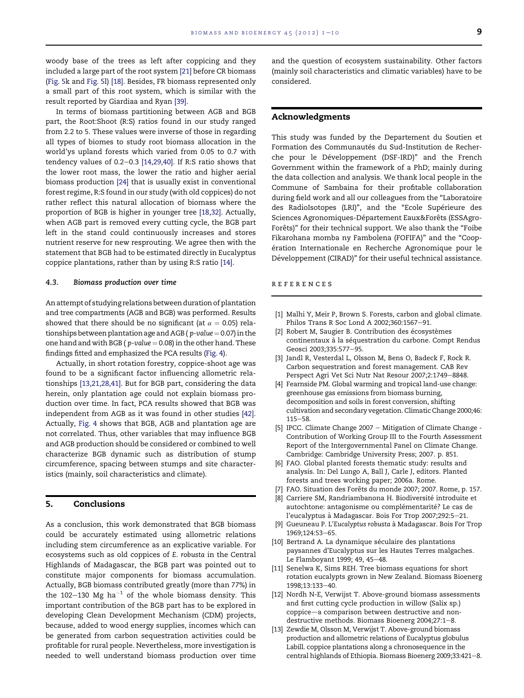<span id="page-8-0"></span>woody base of the trees as left after coppicing and they included a large part of the root system [\[21\]](#page-9-0) before CR biomass [\(Fig. 5k](#page-7-0) and [Fig. 5](#page-7-0)l) [\[18\]](#page-9-0). Besides, FR biomass represented only a small part of this root system, which is similar with the result reported by Giardiaa and Ryan [\[39\].](#page-9-0)

In terms of biomass partitioning between AGB and BGB part, the Root:Shoot (R:S) ratios found in our study ranged from 2.2 to 5. These values were inverse of those in regarding all types of biomes to study root biomass allocation in the world'ys upland forests which varied from 0.05 to 0.7 with tendency values of  $0.2-0.3$  [\[14,29,40\].](#page-9-0) If R:S ratio shows that the lower root mass, the lower the ratio and higher aerial biomass production [\[24\]](#page-9-0) that is usually exist in conventional forest regime, R:S found in our study (with old coppices) do not rather reflect this natural allocation of biomass where the proportion of BGB is higher in younger tree [\[18,32\]](#page-9-0). Actually, when AGB part is removed every cutting cycle, the BGB part left in the stand could continuously increases and stores nutrient reserve for new resprouting. We agree then with the statement that BGB had to be estimated directly in Eucalyptus coppice plantations, rather than by using R:S ratio [\[14\]](#page-9-0).

#### 4.3. Biomass production over time

An attempt of studying relations between duration of plantation and tree compartments (AGB and BGB) was performed. Results showed that there should be no significant (at  $\alpha = 0.05$ ) relationships between plantation age and AGB ( $p$ -value = 0.07) in the one hand and with BGB ( $p$ -value  $= 0.08$ ) in the other hand. These findings fitted and emphasized the PCA results [\(Fig. 4\)](#page-7-0).

Actually, in short rotation forestry, coppice-shoot age was found to be a significant factor influencing allometric relationships [13,21,28,41]. But for BGB part, considering the data herein, only plantation age could not explain biomass production over time. In fact, PCA results showed that BGB was independent from AGB as it was found in other studies [\[42\].](#page-9-0) Actually, [Fig. 4](#page-7-0) shows that BGB, AGB and plantation age are not correlated. Thus, other variables that may influence BGB and AGB production should be considered or combined to well characterize BGB dynamic such as distribution of stump circumference, spacing between stumps and site characteristics (mainly, soil characteristics and climate).

# 5. Conclusions

As a conclusion, this work demonstrated that BGB biomass could be accurately estimated using allometric relations including stem circumference as an explicative variable. For ecosystems such as old coppices of E. robusta in the Central Highlands of Madagascar, the BGB part was pointed out to constitute major components for biomass accumulation. Actually, BGB biomass contributed greatly (more than 77%) in the 102-130 Mg ha<sup>-1</sup> of the whole biomass density. This important contribution of the BGB part has to be explored in developing Clean Development Mechanism (CDM) projects, because, added to wood energy supplies, incomes which can be generated from carbon sequestration activities could be profitable for rural people. Nevertheless, more investigation is needed to well understand biomass production over time

and the question of ecosystem sustainability. Other factors (mainly soil characteristics and climatic variables) have to be considered.

#### Acknowledgments

This study was funded by the Departement du Soutien et Formation des Communautés du Sud-Institution de Recherche pour le Développement (DSF-IRD)" and the French Government within the framework of a PhD; mainly during the data collection and analysis. We thank local people in the Commune of Sambaina for their profitable collaboration during field work and all our colleagues from the "Laboratoire des RadioIsotopes (LRI)", and the "Ecole Supérieure des Sciences Agronomiques-Département Eaux&Forêts (ESSAgro-Forêts)" for their technical support. We also thank the "Foibe Fikarohana momba ny Fambolena (FOFIFA)" and the "Coopération Internationale en Recherche Agronomique pour le Développement (CIRAD)" for their useful technical assistance.

#### references

- [1] Malhi Y, Meir P, Brown S. Forests, carbon and global climate. Philos Trans R Soc Lond A 2002;360:1567-91.
- [2] Robert M, Saugier B. Contribution des écosystèmes continentaux à la séquestration du carbone. Compt Rendus Geosci 2003;335:577-95.
- [3] Jandl R, Vesterdal L, Olsson M, Bens O, Badeck F, Rock R. Carbon sequestration and forest management. CAB Rev Perspect Agri Vet Sci Nutr Nat Resour 2007;2:1749-8848.
- [4] Fearnside PM. Global warming and tropical land-use change: greenhouse gas emissions from biomass burning, decomposition and soils in forest conversion, shifting cultivation and secondary vegetation. Climatic Change 2000;46:  $115 - 58.$
- [5] IPCC. Climate Change 2007 Mitigation of Climate Change -Contribution of Working Group III to the Fourth Assessment Report of the Intergovernmental Panel on Climate Change. Cambridge: Cambridge University Press; 2007. p. 851.
- [6] FAO. Global planted forests thematic study: results and analysis. In: Del Lungo A, Ball J, Carle J, editors. Planted forests and trees working paper; 2006a. Rome.
- [7] FAO. Situation des Forêts du monde 2007; 2007. Rome, p. 157.
- [8] Carriere SM, Randriambanona H. Biodiversité introduite et autochtone: antagonisme ou complémentarité? Le cas de l'eucalyptus à Madagascar. Bois For Trop 2007;292:5-21.
- [9] Gueuneau P. L'Eucalyptus robusta a` Madagascar. Bois For Trop 1969;124:53-65.
- [10] Bertrand A. La dynamique séculaire des plantations paysannes d'Eucalyptus sur les Hautes Terres malgaches. Le Flamboyant 1999; 49, 45-48.
- [11] Senelwa K, Sims REH. Tree biomass equations for short rotation eucalypts grown in New Zealand. Biomass Bioenerg 1998;13:133-40.
- [12] Nordh N-E, Verwijst T. Above-ground biomass assessments and first cutting cycle production in willow (Salix sp.) coppice-a comparison between destructive and nondestructive methods. Biomass Bioenerg 2004;27:1-8.
- [13] Zewdie M, Olsson M, Verwijst T. Above-ground biomass production and allometric relations of Eucalyptus globulus Labill. coppice plantations along a chronosequence in the central highlands of Ethiopia. Biomass Bioenerg 2009;33:421-8.